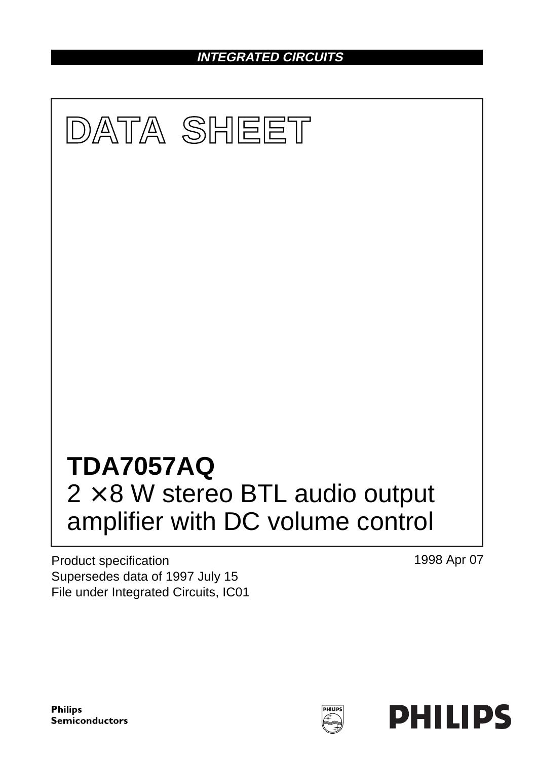**INTEGRATED CIRCUITS**



Product specification Supersedes data of 1997 July 15 File under Integrated Circuits, IC01 1998 Apr 07

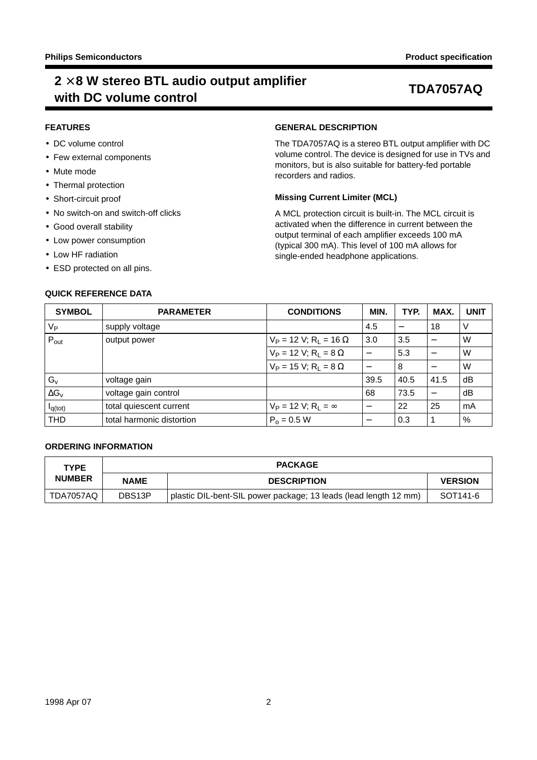## **2** × **8 W stereo BTL audio output amplifier with DC volume control TDA7057AQ**

### **FEATURES**

- DC volume control
- Few external components
- Mute mode
- Thermal protection
- Short-circuit proof
- No switch-on and switch-off clicks
- Good overall stability
- Low power consumption
- Low HF radiation
- ESD protected on all pins.

## **QUICK REFERENCE DATA**

### **GENERAL DESCRIPTION**

The TDA7057AQ is a stereo BTL output amplifier with DC volume control. The device is designed for use in TVs and monitors, but is also suitable for battery-fed portable recorders and radios.

## **Missing Current Limiter (MCL)**

A MCL protection circuit is built-in. The MCL circuit is activated when the difference in current between the output terminal of each amplifier exceeds 100 mA (typical 300 mA). This level of 100 mA allows for single-ended headphone applications.

| <b>SYMBOL</b>       | <b>PARAMETER</b>          | <b>CONDITIONS</b>                        | MIN.                     | TYP.                     | MAX. | <b>UNIT</b> |
|---------------------|---------------------------|------------------------------------------|--------------------------|--------------------------|------|-------------|
| $V_{P}$             | supply voltage            |                                          | 4.5                      | $\overline{\phantom{0}}$ | 18   | V           |
| $P_{\text{out}}$    | output power              | $V_P$ = 12 V; R <sub>L</sub> = 16 Ω      | 3.0                      | 3.5                      |      | W           |
|                     |                           | $V_P$ = 12 V; R <sub>L</sub> = 8 Ω       | $\overline{\phantom{m}}$ | 5.3                      |      | W           |
|                     |                           | $V_P$ = 15 V; R <sub>L</sub> = 8 Ω       |                          | 8                        |      | W           |
| $G_{v}$             | voltage gain              |                                          | 39.5                     | 40.5                     | 41.5 | dB          |
| $\Delta G_{v}$      | voltage gain control      |                                          | 68                       | 73.5                     |      | dB          |
| I <sub>q(tot)</sub> | total quiescent current   | $V_P = 12 V$ ; R <sub>L</sub> = $\infty$ |                          | 22                       | 25   | mA          |
| <b>THD</b>          | total harmonic distortion | $P_0 = 0.5 W$                            | —                        | 0.3                      |      | $\%$        |
|                     |                           |                                          |                          |                          |      |             |

## **ORDERING INFORMATION**

| <b>TYPE</b>   |                     | <b>PACKAGE</b>                                                   |                |  |  |  |  |  |
|---------------|---------------------|------------------------------------------------------------------|----------------|--|--|--|--|--|
| <b>NUMBER</b> | <b>NAME</b>         | <b>DESCRIPTION</b>                                               | <b>VERSION</b> |  |  |  |  |  |
| TDA7057AQ     | DBS <sub>13</sub> P | plastic DIL-bent-SIL power package; 13 leads (lead length 12 mm) | SOT141-6       |  |  |  |  |  |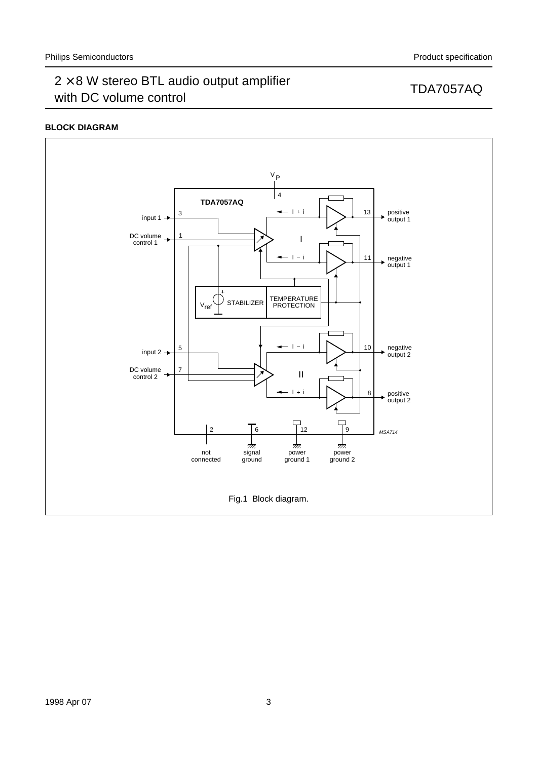## **BLOCK DIAGRAM**

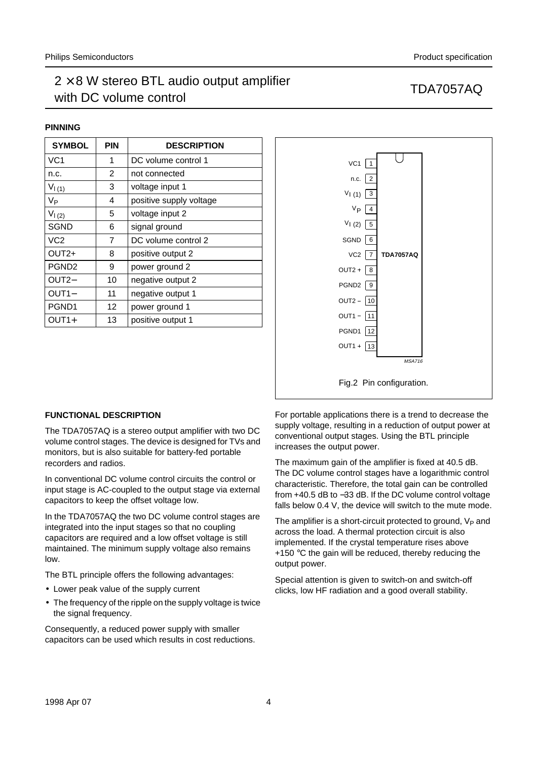## $2 \times 8$  W stereo BTL audio output amplifier  $2 \times 3$  iv steres BTE didn't support dimplifier<br>with DC volume control

#### **PINNING**

| <b>SYMBOL</b>     | <b>PIN</b> | <b>DESCRIPTION</b>      |
|-------------------|------------|-------------------------|
| VC <sub>1</sub>   | 1          | DC volume control 1     |
| n.c.              | 2          | not connected           |
| $V_{(1)}$         | 3          | voltage input 1         |
| Vр                | 4          | positive supply voltage |
| $V_{(2)}$         | 5          | voltage input 2         |
| <b>SGND</b>       | 6          | signal ground           |
| VC <sub>2</sub>   | 7          | DC volume control 2     |
| OUT2+             | 8          | positive output 2       |
| PGND <sub>2</sub> | 9          | power ground 2          |
| OUT <sub>2</sub>  | 10         | negative output 2       |
| OUT <sub>1</sub>  | 11         | negative output 1       |
| PGND <sub>1</sub> | 12         | power ground 1          |
| OUT1+             | 13         | positive output 1       |



### **FUNCTIONAL DESCRIPTION**

The TDA7057AQ is a stereo output amplifier with two DC volume control stages. The device is designed for TVs and monitors, but is also suitable for battery-fed portable recorders and radios.

In conventional DC volume control circuits the control or input stage is AC-coupled to the output stage via external capacitors to keep the offset voltage low.

In the TDA7057AQ the two DC volume control stages are integrated into the input stages so that no coupling capacitors are required and a low offset voltage is still maintained. The minimum supply voltage also remains low.

The BTL principle offers the following advantages:

- Lower peak value of the supply current
- The frequency of the ripple on the supply voltage is twice the signal frequency.

Consequently, a reduced power supply with smaller capacitors can be used which results in cost reductions.

For portable applications there is a trend to decrease the supply voltage, resulting in a reduction of output power at conventional output stages. Using the BTL principle increases the output power.

The maximum gain of the amplifier is fixed at 40.5 dB. The DC volume control stages have a logarithmic control characteristic. Therefore, the total gain can be controlled from +40.5 dB to −33 dB. If the DC volume control voltage falls below 0.4 V, the device will switch to the mute mode.

The amplifier is a short-circuit protected to ground,  $V_P$  and across the load. A thermal protection circuit is also implemented. If the crystal temperature rises above +150  $\degree$ C the gain will be reduced, thereby reducing the output power.

Special attention is given to switch-on and switch-off clicks, low HF radiation and a good overall stability.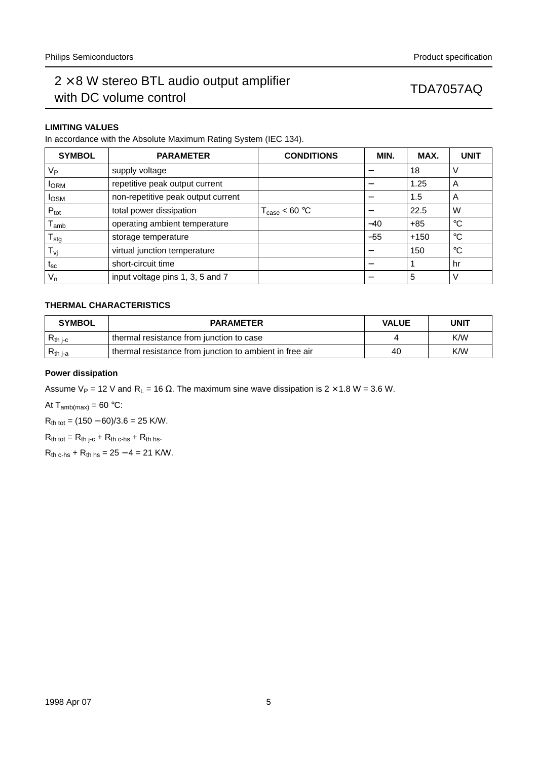## $2 \times 8$  W stereo BTL audio output amplifier  $\geq$   $\sim$  0 W stereo BTE addite bulpart amplifier  $\sim$  TDA7057AQ with DC volume control

## **LIMITING VALUES**

In accordance with the Absolute Maximum Rating System (IEC 134).

| <b>SYMBOL</b>               | <b>PARAMETER</b>                   | <b>CONDITIONS</b>                 | MIN.  | MAX.   | <b>UNIT</b> |
|-----------------------------|------------------------------------|-----------------------------------|-------|--------|-------------|
| $V_{\mathsf{P}}$            | supply voltage                     |                                   |       | 18     | V           |
| <b>I</b> ORM                | repetitive peak output current     |                                   |       | 1.25   | A           |
| $I_{OSM}$                   | non-repetitive peak output current |                                   |       | 1.5    | A           |
| $P_{\text{tot}}$            | total power dissipation            | $T_{\text{case}} < 60 \text{ °C}$ |       | 22.5   | W           |
| $\mathsf{T}_{\mathsf{amb}}$ | operating ambient temperature      |                                   | $-40$ | $+85$  | $^{\circ}C$ |
| $T_{\text{stg}}$            | storage temperature                |                                   | $-55$ | $+150$ | $^{\circ}C$ |
| T <sub>vj</sub>             | virtual junction temperature       |                                   |       | 150    | $^{\circ}C$ |
| $t_{\rm sc}$                | short-circuit time                 |                                   |       |        | hr          |
| $V_n$                       | input voltage pins 1, 3, 5 and 7   |                                   |       | 5      | V           |

## **THERMAL CHARACTERISTICS**

| <b>SYMBOL</b> | <b>PARAMETER</b>                                        | <b>VALUE</b> | UNIT |
|---------------|---------------------------------------------------------|--------------|------|
| $R_{th i-c}$  | thermal resistance from junction to case                |              | K/W  |
| $R_{th\,j-a}$ | thermal resistance from junction to ambient in free air | 40           | K/W  |

### **Power dissipation**

Assume V<sub>P</sub> = 12 V and R<sub>L</sub> = 16  $\Omega$ . The maximum sine wave dissipation is 2 × 1.8 W = 3.6 W.

At  $T_{amb(max)} = 60 °C$ :

 $R_{\text{th tot}} = (150 - 60)/3.6 = 25$  K/W.

 $R_{th tot} = R_{th i-c} + R_{th c-hs} + R_{th hs}.$ 

 $R_{th c-hs} + R_{th bs} = 25 - 4 = 21$  K/W.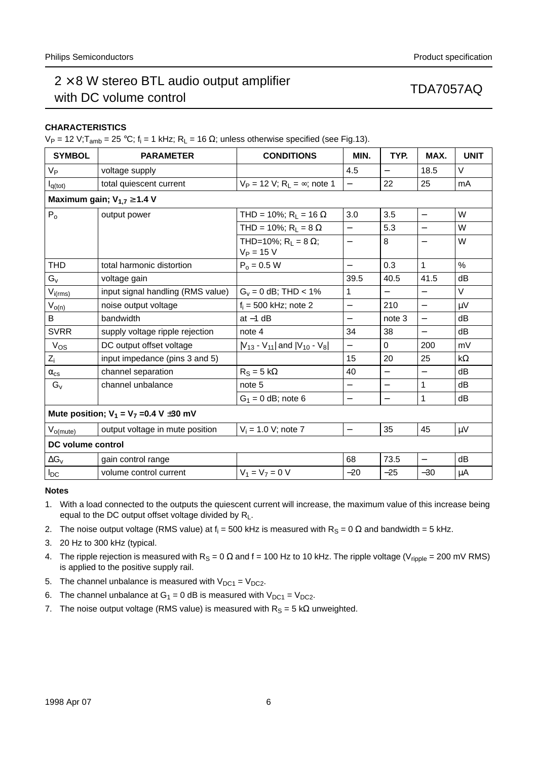## $2 \times 8$  W stereo BTL audio output amplifier  $2 \times 3$  iv states BTE didn't state implies<br>with DC volume control

## **CHARACTERISTICS**

V<sub>P</sub> = 12 V;T<sub>amb</sub> = 25 °C; f<sub>i</sub> = 1 kHz; R<sub>L</sub> = 16 Ω; unless otherwise specified (see Fig.13).

| <b>SYMBOL</b>                                | <b>PARAMETER</b>                   | <b>CONDITIONS</b>                                      | MIN.                     | TYP.                     | MAX.                     | <b>UNIT</b>   |  |  |
|----------------------------------------------|------------------------------------|--------------------------------------------------------|--------------------------|--------------------------|--------------------------|---------------|--|--|
| V <sub>Р</sub>                               | voltage supply                     |                                                        | 4.5                      | $\overline{\phantom{0}}$ | 18.5                     | $\vee$        |  |  |
| $I_{q(tot)}$                                 | total quiescent current            | $V_P = 12 V$ ; R <sub>1</sub> = $\infty$ ; note 1      |                          | 22                       | 25                       | mA            |  |  |
|                                              | Maximum gain; $V_{1,7} \geq 1.4$ V |                                                        |                          |                          |                          |               |  |  |
| $P_0$                                        | output power                       | THD = 10%; R <sub>1</sub> = 16 $\Omega$                | 3.0                      | 3.5                      | $\overline{\phantom{0}}$ | W             |  |  |
|                                              |                                    | THD = 10%; $R_L = 8 \Omega$                            | $\overline{\phantom{0}}$ | 5.3                      | $\overline{\phantom{0}}$ | W             |  |  |
|                                              |                                    | THD=10%; R <sub>1</sub> = 8 $\Omega$ ;<br>$V_P = 15 V$ |                          | 8                        |                          | W             |  |  |
| THD                                          | total harmonic distortion          | $P_0 = 0.5 W$                                          | $\overline{\phantom{0}}$ | 0.3                      | $\mathbf{1}$             | $\frac{0}{0}$ |  |  |
| $G_{V}$                                      | voltage gain                       |                                                        | 39.5                     | 40.5                     | 41.5                     | dB            |  |  |
| $V_{i(rms)}$                                 | input signal handling (RMS value)  | $G_v = 0$ dB; THD < 1%                                 | 1                        | $\overline{\phantom{0}}$ | $\overline{\phantom{0}}$ | V             |  |  |
| $V_{o(n)}$                                   | noise output voltage               | $f_i = 500$ kHz; note 2                                | $\qquad \qquad -$        | 210                      | $\overline{\phantom{0}}$ | $\mu V$       |  |  |
| B                                            | bandwidth                          | at $-1$ dB                                             | $\qquad \qquad -$        | note 3                   | $\equiv$                 | dB            |  |  |
| <b>SVRR</b>                                  | supply voltage ripple rejection    | note 4                                                 | 34                       | 38                       | $\overline{\phantom{0}}$ | dB            |  |  |
| $ V_{OS} $                                   | DC output offset voltage           | $ V_{13} - V_{11} $ and $ V_{10} - V_{8} $             | $\overline{\phantom{0}}$ | $\Omega$                 | 200                      | mV            |  |  |
| $Z_i$                                        | input impedance (pins 3 and 5)     |                                                        | 15                       | 20                       | 25                       | $k\Omega$     |  |  |
| $\alpha_{\text{cs}}$                         | channel separation                 | $R_S = 5 k\Omega$                                      | 40                       | $\overline{\phantom{0}}$ | $\overline{\phantom{0}}$ | dB            |  |  |
| $ G_v $                                      | channel unbalance                  | note 5                                                 | $\qquad \qquad -$        | $\overline{\phantom{0}}$ | 1                        | dB            |  |  |
|                                              |                                    | $G_1 = 0$ dB; note 6                                   | $\qquad \qquad -$        |                          | 1                        | dB            |  |  |
| Mute position; $V_1 = V_7 = 0.4 V \pm 30$ mV |                                    |                                                        |                          |                          |                          |               |  |  |
| $V_{o(mute)}$                                | output voltage in mute position    | $V_i = 1.0 V$ ; note 7                                 | $\overline{\phantom{0}}$ | 35                       | 45                       | $\mu$ V       |  |  |
| DC volume control                            |                                    |                                                        |                          |                          |                          |               |  |  |
| $\Delta G_v$                                 | gain control range                 |                                                        | 68                       | 73.5                     | $\overline{\phantom{0}}$ | dB            |  |  |
| I <sub>DC</sub>                              | volume control current             | $V_1 = V_7 = 0 V$                                      | $-20$                    | $-25$                    | $-30$                    | μA            |  |  |

#### **Notes**

- 1. With a load connected to the outputs the quiescent current will increase, the maximum value of this increase being equal to the DC output offset voltage divided by  $R_L$ .
- 2. The noise output voltage (RMS value) at  $f_i = 500$  kHz is measured with  $R_S = 0$   $\Omega$  and bandwidth = 5 kHz.
- 3. 20 Hz to 300 kHz (typical.
- 4. The ripple rejection is measured with  $R_S = 0 \Omega$  and f = 100 Hz to 10 kHz. The ripple voltage (V<sub>ripple</sub> = 200 mV RMS) is applied to the positive supply rail.
- 5. The channel unbalance is measured with  $V_{DC1} = V_{DC2}$ .
- 6. The channel unbalance at  $G_1 = 0$  dB is measured with  $V_{DC1} = V_{DC2}$ .
- 7. The noise output voltage (RMS value) is measured with  $R_S = 5 k\Omega$  unweighted.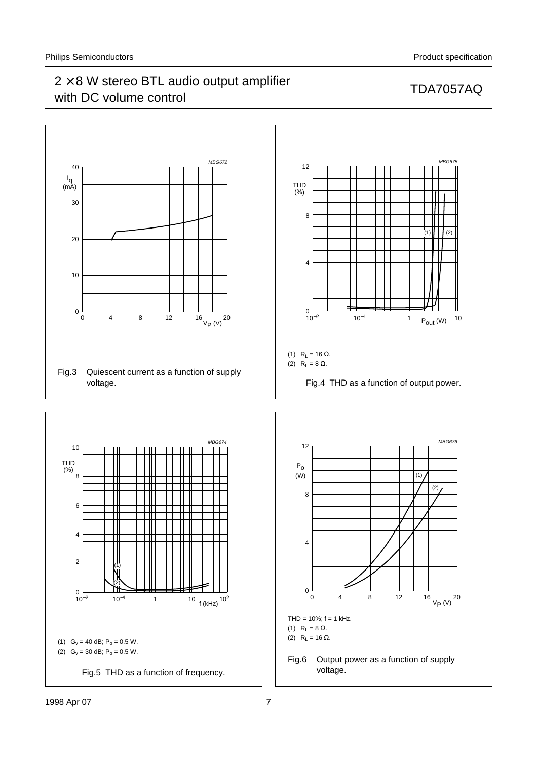## $2 \times 8$  W stereo BTL audio output amplifier  $\geq$   $\sim$  0 W stereo BTE addite bulpart amplifier  $\sim$  TDA7057AQ with DC volume control

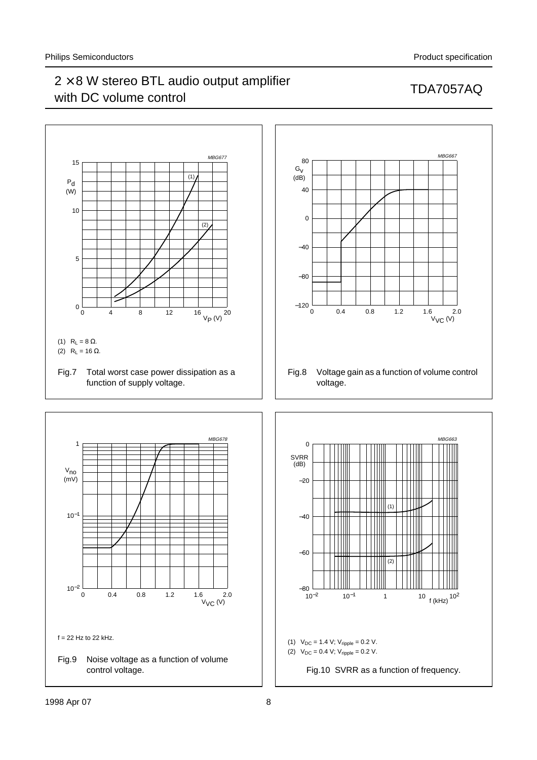## $2 \times 8$  W stereo BTL audio output amplifier  $\geq$   $\sim$  0 W stereo BTE addite bulpart amplifier  $\sim$  TDA7057AQ with DC volume control



Fig.9 Noise voltage as a function of volume control voltage.

(2)  $V_{DC} = 0.4$  V;  $V_{ripple} = 0.2$  V.

Fig.10 SVRR as a function of frequency.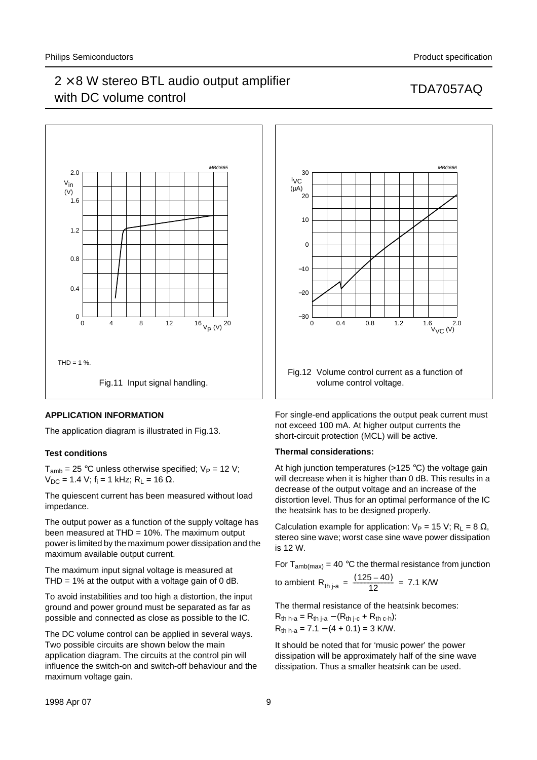## $2 \times 8$  W stereo BTL audio output amplifier  $2 \times 3$  iv steres BTE didn't support dimplifier<br>with DC volume control



### **APPLICATION INFORMATION**

The application diagram is illustrated in Fig.13.

#### **Test conditions**

 $T_{amb}$  = 25 °C unless otherwise specified;  $V_P$  = 12 V;  $V_{DC}$  = 1.4 V; f<sub>i</sub> = 1 kHz; R<sub>L</sub> = 16 Ω.

The quiescent current has been measured without load impedance.

The output power as a function of the supply voltage has been measured at THD = 10%. The maximum output power is limited by the maximum power dissipation and the maximum available output current.

The maximum input signal voltage is measured at THD = 1% at the output with a voltage gain of 0 dB.

To avoid instabilities and too high a distortion, the input ground and power ground must be separated as far as possible and connected as close as possible to the IC.

The DC volume control can be applied in several ways. Two possible circuits are shown below the main application diagram. The circuits at the control pin will influence the switch-on and switch-off behaviour and the maximum voltage gain.



For single-end applications the output peak current must not exceed 100 mA. At higher output currents the short-circuit protection (MCL) will be active.

#### **Thermal considerations:**

At high junction temperatures (>125 °C) the voltage gain will decrease when it is higher than 0 dB. This results in a decrease of the output voltage and an increase of the distortion level. Thus for an optimal performance of the IC the heatsink has to be designed properly.

Calculation example for application:  $V_P = 15$  V; R<sub>L</sub> = 8  $\Omega$ , stereo sine wave; worst case sine wave power dissipation is 12 W.

For  $T_{amb(max)}$  = 40 °C the thermal resistance from junction

to ambient R<sub>th j-a</sub> = 
$$
\frac{(125-40)}{12}
$$
 = 7.1 K/W

The thermal resistance of the heatsink becomes:

$$
R_{th h-a} = R_{th j-a} - (R_{th j-c} + R_{th c-h});
$$
  
\n
$$
R_{th h-a} = 7.1 - (4 + 0.1) = 3
$$
 K/W.

It should be noted that for 'music power' the power dissipation will be approximately half of the sine wave dissipation. Thus a smaller heatsink can be used.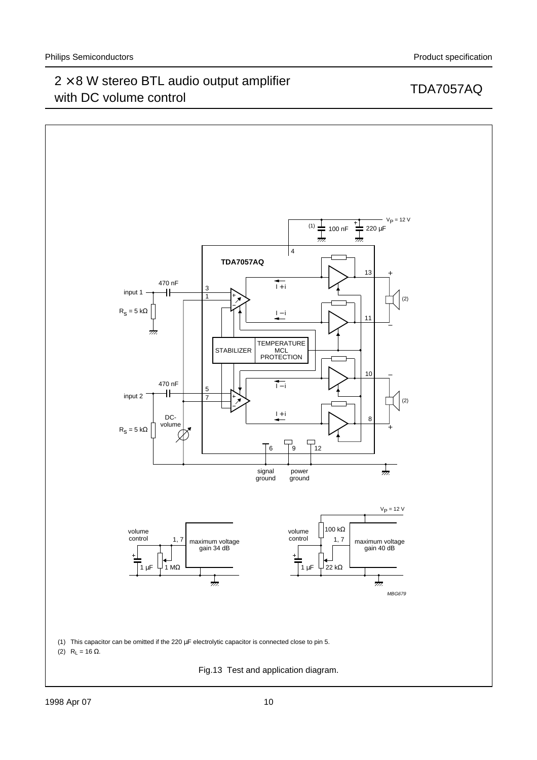## $2 \times 8$  W stereo BTL audio output amplifier  $2 \times 6$  W stereo BTL addite output amplifier<br>with DC volume control



### 1998 Apr 07 10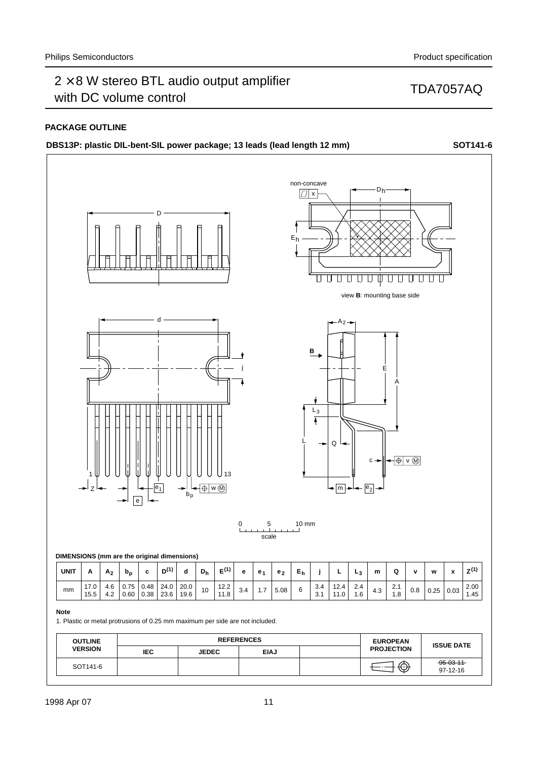## **PACKAGE OUTLINE**

|             |                                             |                |       | DBS13P: plastic DIL-bent-SIL power package; 13 leads (lead length 12 mm) |                  |            |             |                   |           |                |                |                        |                              |                                                                                |              |            |                                    |                    |   |                    | SOT141-6              |
|-------------|---------------------------------------------|----------------|-------|--------------------------------------------------------------------------|------------------|------------|-------------|-------------------|-----------|----------------|----------------|------------------------|------------------------------|--------------------------------------------------------------------------------|--------------|------------|------------------------------------|--------------------|---|--------------------|-----------------------|
|             |                                             |                |       |                                                                          | D                |            |             |                   |           |                |                | $\boxed{1}$ x<br>$E_h$ | non-concave<br>IJ            |                                                                                |              | $D_h$      |                                    |                    |   |                    |                       |
|             |                                             |                |       |                                                                          |                  |            |             |                   |           |                |                |                        |                              |                                                                                |              |            | view <b>B</b> : mounting base side |                    |   |                    |                       |
|             | 1<br>$\frac{1}{Z}$ $\frac{1}{Z}$            |                |       | $\overline{e}$                                                           | $\overline{e_1}$ | →<br>$b_p$ | ← ⊕ w M     | 13                | j         |                |                |                        | $\overline{B}$<br>$L_3$<br>Ā | $- A_2 -$<br>$Q \sim$<br>$\leftarrow$ $\boxed{m}$ $\leftarrow$ $\boxed{e_2}$ . |              | Е<br>$c -$ | A<br>← ⊕ v M                       |                    |   |                    |                       |
|             |                                             |                |       |                                                                          |                  |            |             |                   | $\pmb{0}$ | 5              |                | $10 \text{ mm}$        |                              |                                                                                |              |            |                                    |                    |   |                    |                       |
|             |                                             |                |       |                                                                          |                  |            |             |                   |           | scale          |                |                        |                              |                                                                                |              |            |                                    |                    |   |                    |                       |
|             | DIMENSIONS (mm are the original dimensions) |                |       |                                                                          |                  |            |             |                   |           |                |                |                        |                              |                                                                                |              |            |                                    |                    |   |                    |                       |
| <b>UNIT</b> | Α                                           | A <sub>2</sub> | $b_p$ | $\mathbf c$                                                              | $D^{(1)}$        | d<br>20.0  | ${\bf D_h}$ | $E^{(1)}$<br>12.2 | e         | e <sub>1</sub> | e <sub>2</sub> | ${\sf E}_{\sf h}$      | j<br>3.4                     | ц<br>12.4                                                                      | $L_3$<br>2.4 | m          | Q<br>2.1                           | $\pmb{\mathsf{v}}$ | w | $\pmb{\mathsf{x}}$ | $Z^{(1)}$<br>$2.00\,$ |
|             | 17.0                                        | 4.6            | 0.75  | 0.48                                                                     | 24.0             |            |             |                   | $3.4\,$   | 1.7            | 5.08           | 6                      |                              |                                                                                |              | $4.3$      |                                    | $0.8\,$            |   |                    |                       |

| <b>OUTLINE</b> |            | <b>EUROPEAN</b> |             |  |                   |                               |
|----------------|------------|-----------------|-------------|--|-------------------|-------------------------------|
| <b>VERSION</b> | <b>IEC</b> | <b>JEDEC</b>    | <b>EIAJ</b> |  | <b>PROJECTION</b> | <b>ISSUE DATE</b>             |
| SOT141-6       |            |                 |             |  | ⊕                 | $-95 - 03 - 11$<br>$97-12-16$ |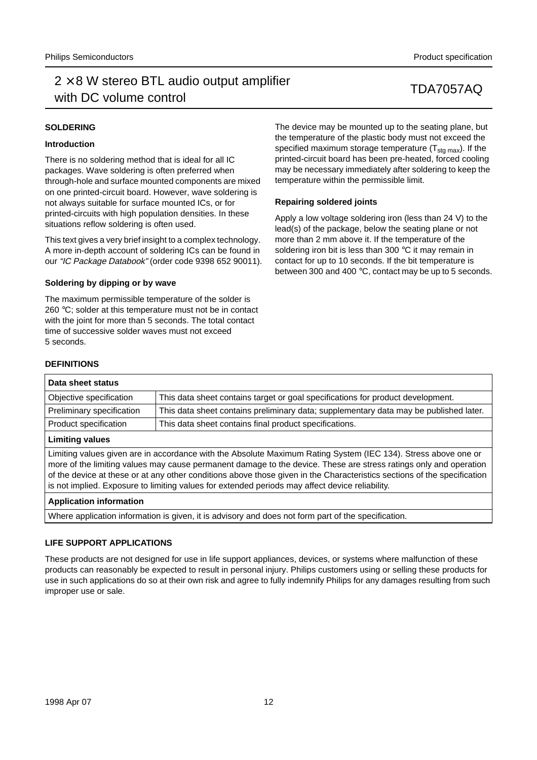## $2 \times 8$  W stereo BTL audio output amplifier  $2 \times 3$  iv steres BTE didn't support dimplifier<br>with DC volume control

## **SOLDERING**

## **Introduction**

There is no soldering method that is ideal for all IC packages. Wave soldering is often preferred when through-hole and surface mounted components are mixed on one printed-circuit board. However, wave soldering is not always suitable for surface mounted ICs, or for printed-circuits with high population densities. In these situations reflow soldering is often used.

This text gives a very brief insight to a complex technology. A more in-depth account of soldering ICs can be found in our "IC Package Databook" (order code 9398 652 90011).

### **Soldering by dipping or by wave**

The maximum permissible temperature of the solder is 260 °C; solder at this temperature must not be in contact with the joint for more than 5 seconds. The total contact time of successive solder waves must not exceed 5 seconds.

The device may be mounted up to the seating plane, but the temperature of the plastic body must not exceed the specified maximum storage temperature  $(T_{sta\,max})$ . If the printed-circuit board has been pre-heated, forced cooling may be necessary immediately after soldering to keep the temperature within the permissible limit.

### **Repairing soldered joints**

Apply a low voltage soldering iron (less than 24 V) to the lead(s) of the package, below the seating plane or not more than 2 mm above it. If the temperature of the soldering iron bit is less than 300 °C it may remain in contact for up to 10 seconds. If the bit temperature is between 300 and 400 °C, contact may be up to 5 seconds.

## **DEFINITIONS**

| Data sheet status                                                                                                                                                                                                                   |                                                                                       |  |  |  |  |
|-------------------------------------------------------------------------------------------------------------------------------------------------------------------------------------------------------------------------------------|---------------------------------------------------------------------------------------|--|--|--|--|
| Objective specification                                                                                                                                                                                                             | This data sheet contains target or goal specifications for product development.       |  |  |  |  |
| Preliminary specification                                                                                                                                                                                                           | This data sheet contains preliminary data; supplementary data may be published later. |  |  |  |  |
| Product specification                                                                                                                                                                                                               | This data sheet contains final product specifications.                                |  |  |  |  |
| <b>Limiting values</b>                                                                                                                                                                                                              |                                                                                       |  |  |  |  |
| Limiting values given are in accordance with the Absolute Maximum Rating System (IEC 134). Stress above one or<br>more of the limiting values may cause permanent damage to the device. These are stress ratings only and operation |                                                                                       |  |  |  |  |

of the device at these or at any other conditions above those given in the Characteristics sections of the specification

### **Application information**

Where application information is given, it is advisory and does not form part of the specification.

is not implied. Exposure to limiting values for extended periods may affect device reliability.

### **LIFE SUPPORT APPLICATIONS**

These products are not designed for use in life support appliances, devices, or systems where malfunction of these products can reasonably be expected to result in personal injury. Philips customers using or selling these products for use in such applications do so at their own risk and agree to fully indemnify Philips for any damages resulting from such improper use or sale.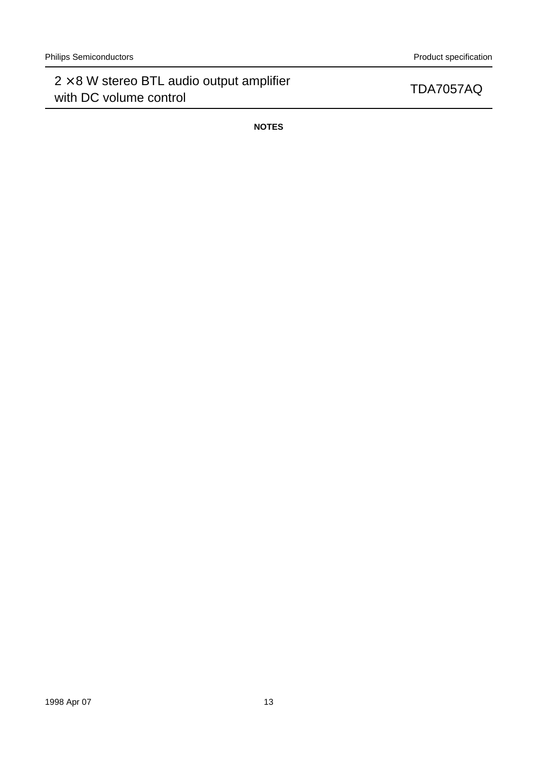**NOTES**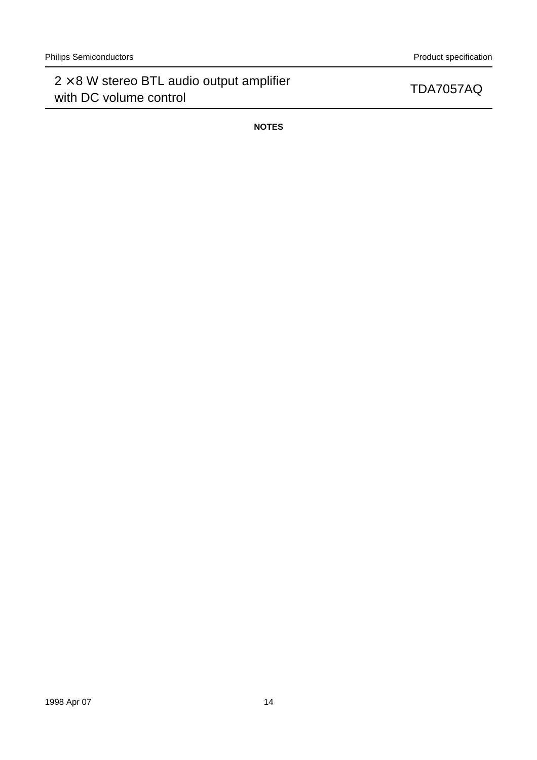**NOTES**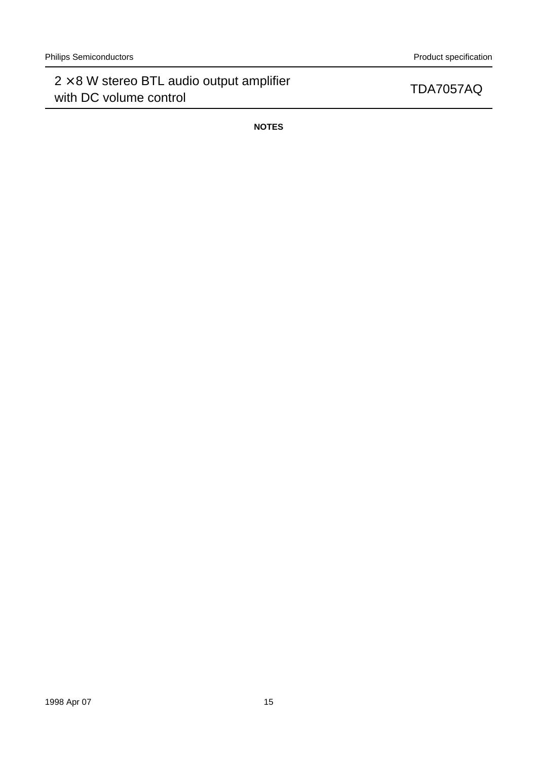**NOTES**